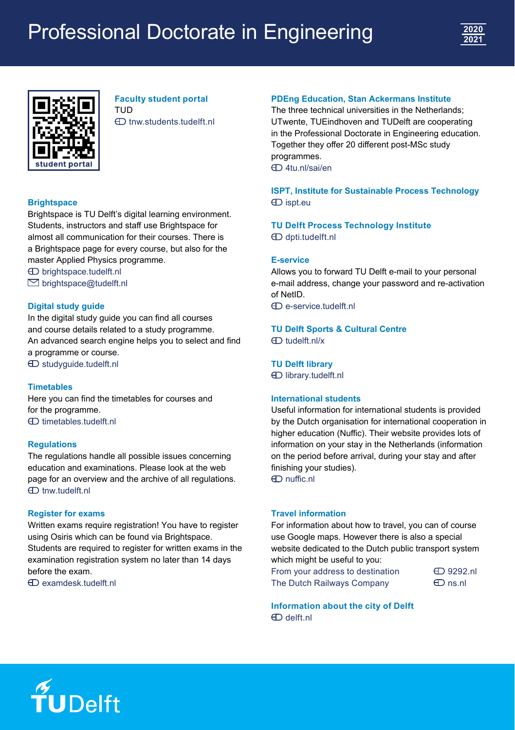# Professional Doctorate in Engineering





**Faculty student portal** TUD [tnw.students.tudelft.nl](http://tnw.students.tudelft.nl)

### **Brightspace**

Brightspace is TU Delft's digital learning environment. Students, instructors and staff use Brightspace for almost all communication for their courses. There is a Brightspace page for every course, but also for the master Applied Physics programme.

 [brightspace.tudelft.nl](http://brightspace.tudelft.nl)  $\boxdot$  brightspace@tudelft.nl

### **Digital study guide**

In the digital study guide you can find all courses and course details related to a study programme. An advanced search engine helps you to select and find a programme or course. [studyguide.tudelft.nl](http://studyguide.tudelft.nl)

#### **Timetables**

Here you can find the timetables for courses and for the programme. **ED** timetables tudelft nl

#### **Regulations**

The regulations handle all possible issues concerning education and examinations. Please look at the web page for an overview and the archive of all regulations.  $\bigoplus$  [tnw.tudelft.nl](http://tnw.tudelft.nl)

#### **Register for exams**

Written exams require registration! You have to register using Osiris which can be found via Brightspace. Students are required to register for written exams in the examination registration system no later than 14 days before the exam.

[examdesk.tudelft.nl](http://examdesk.tudelft.nl)

### **PDEng Education, Stan Ackermans Institute**

The three technical universities in the Netherlands; UTwente, TUEindhoven and TUDelft are cooperating in the Professional Doctorate in Engineering education. Together they offer 20 different post-MSc study programmes. [4tu.nl/sai/en](http://4tu.nl/sai/en)

**ISPT, Institute for Sustainable Process Technology**  $\bigoplus$  [ispt.eu](http://ispt.eu)

**TU Delft Process Technology Institute** [dpti.tudelft.nl](http://dpti.tudelft.nl)

#### **E-service**

Allows you to forward TU Delft e-mail to your personal e-mail address, change your password and re-activation of NetID.

[e-service.tudelft.nl](http://e-service.tudelft.nl)

**TU Delft Sports & Cultural Centre** [tudelft.nl/x](http://tudelft.nl/x)

**TU Delft library**

[library.tudelft.nl](http://library.tudelft.nl)

### **International students**

Useful information for international students is provided by the Dutch organisation for international cooperation in higher education (Nuffic). Their website provides lots of information on your stay in the Netherlands (information on the period before arrival, during your stay and after finishing your studies). [nuffic.nl](http://nuffic.nl)

**Travel information**

For information about how to travel, you can of course use Google maps. However there is also a special website dedicated to the Dutch public transport system which might be useful to you:

From your address to destination  $\Box$  [9292.nl](http://9292.nl) The Dutch Railways Company  $\bigoplus$  [ns.nl](http://ns.nl)

**Information about the city of Delft** [delft.nl](http://delft.nl)

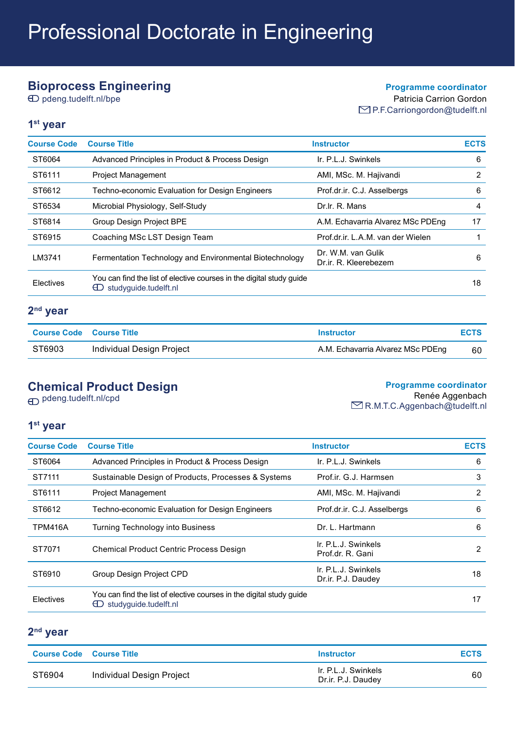# **Bioprocess Engineering**

pdeng.tudelft.nl/bpe

### **Programme coordinator**

Patricia Carrion Gordon ■P.F.Carriongordon@tudelft.nl

### **1st year**

| <b>Course Code</b> | <b>Course Title</b>                                                                                       | <b>Instructor</b>                           | <b>ECTS</b> |
|--------------------|-----------------------------------------------------------------------------------------------------------|---------------------------------------------|-------------|
| ST6064             | Advanced Principles in Product & Process Design                                                           | Ir. P.L.J. Swinkels                         | 6           |
| ST6111             | <b>Project Management</b>                                                                                 | AMI, MSc. M. Hajivandi                      | 2           |
| ST6612             | Techno-economic Evaluation for Design Engineers                                                           | Prof.dr.ir. C.J. Asselbergs                 | 6           |
| ST6534             | Microbial Physiology, Self-Study                                                                          | Dr.lr. R. Mans                              | 4           |
| ST6814             | Group Design Project BPE                                                                                  | A.M. Echavarria Alvarez MSc PDEng           | 17          |
| ST6915             | Coaching MSc LST Design Team                                                                              | Prof.dr.ir, L.A.M. van der Wielen           |             |
| LM3741             | Fermentation Technology and Environmental Biotechnology                                                   | Dr. W.M. van Gulik<br>Dr.ir. R. Kleerebezem | 6           |
| Electives          | You can find the list of elective courses in the digital study quide<br>$\bigoplus$ studyquide.tudelft.nl |                                             | 18          |

### **2nd year**

| Course Code Course Title |                           | Instructor                        | <b>ECTS</b> |
|--------------------------|---------------------------|-----------------------------------|-------------|
| ST6903                   | Individual Design Project | A.M. Echavarria Alvarez MSc PDEng | 60          |

# **Chemical Product Design**

**Programme coordinator**

pdeng.tudelft.nl/cpd

Renée Aggenbach

**EXA** R.M.T.C.Aggenbach@tudelft.nl

### **1st year**

| <b>Course Code</b> | <b>Course Title</b>                                                                                | <b>Instructor</b>                         | <b>ECTS</b> |
|--------------------|----------------------------------------------------------------------------------------------------|-------------------------------------------|-------------|
| ST6064             | Advanced Principles in Product & Process Design                                                    | Ir. P.L.J. Swinkels                       | 6           |
| ST7111             | Sustainable Design of Products, Processes & Systems                                                | Prof.ir. G.J. Harmsen                     | 3           |
| ST6111             | <b>Project Management</b>                                                                          | AMI, MSc. M. Hajivandi                    | 2           |
| ST6612             | Techno-economic Evaluation for Design Engineers                                                    | Prof.dr.ir. C.J. Asselbergs               | 6           |
| <b>TPM416A</b>     | Turning Technology into Business                                                                   | Dr. L. Hartmann                           | 6           |
| ST7071             | <b>Chemical Product Centric Process Design</b>                                                     | Ir. P.L.J. Swinkels<br>Prof.dr. R. Gani   | 2           |
| ST6910             | Group Design Project CPD                                                                           | Ir. P.L.J. Swinkels<br>Dr.ir. P.J. Daudey | 18          |
| Electives          | You can find the list of elective courses in the digital study quide<br>studyquide.tudelft.nl<br>ല |                                           | 17          |

### **2nd year**

| <b>Course Code Course Title</b> |                           | <b>Instructor</b>                         | <b>ECTS</b> |
|---------------------------------|---------------------------|-------------------------------------------|-------------|
| ST6904                          | Individual Design Project | Ir. P.L.J. Swinkels<br>Dr.ir. P.J. Daudey | 60          |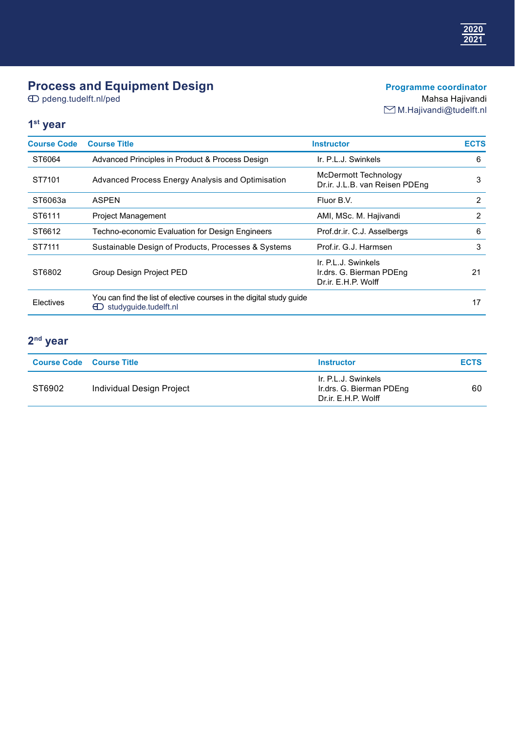# **Process and Equipment Design**

 $\bigoplus$  pdeng.tudelft.nl/ped

### **Programme coordinator** Mahsa Hajivandi

M.Hajivandi@tudelft.nl

### **1st year**

| <b>Course Code</b> | <b>Course Title</b>                                                                                       | <b>Instructor</b>                                                      | <b>ECTS</b> |
|--------------------|-----------------------------------------------------------------------------------------------------------|------------------------------------------------------------------------|-------------|
| ST6064             | Advanced Principles in Product & Process Design                                                           | Ir. P.L.J. Swinkels                                                    | 6           |
| ST7101             | Advanced Process Energy Analysis and Optimisation                                                         | <b>McDermott Technology</b><br>Dr.ir. J.L.B. van Reisen PDEng          | 3           |
| ST6063a            | <b>ASPEN</b>                                                                                              | Fluor B.V.                                                             | 2           |
| ST6111             | <b>Project Management</b>                                                                                 | AMI, MSc. M. Hajivandi                                                 | 2           |
| ST6612             | Techno-economic Evaluation for Design Engineers                                                           | Prof.dr.ir. C.J. Asselbergs                                            | 6           |
| ST7111             | Sustainable Design of Products, Processes & Systems                                                       | Prof.ir. G.J. Harmsen                                                  | 3           |
| ST6802             | Group Design Project PED                                                                                  | Ir. P.L.J. Swinkels<br>Ir.drs. G. Bierman PDEng<br>Dr.ir. E.H.P. Wolff | 21          |
| Electives          | You can find the list of elective courses in the digital study quide<br>$\bigoplus$ studyquide.tudelft.nl |                                                                        | 17          |

# **2nd year**

| <b>Course Code Course Title</b> |                           | <b>Instructor</b>                                                      | <b>ECTS</b> |
|---------------------------------|---------------------------|------------------------------------------------------------------------|-------------|
| ST6902                          | Individual Design Project | Ir. P.L.J. Swinkels<br>Ir.drs. G. Bierman PDEng<br>Dr.ir. E.H.P. Wolff | 60          |